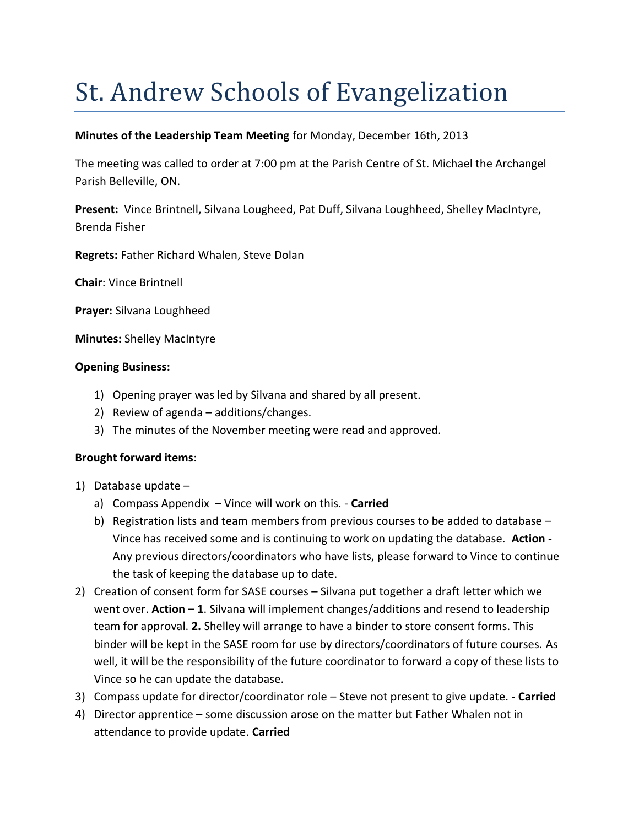# St. Andrew Schools of Evangelization

# **Minutes of the Leadership Team Meeting** for Monday, December 16th, 2013

The meeting was called to order at 7:00 pm at the Parish Centre of St. Michael the Archangel Parish Belleville, ON.

**Present:** Vince Brintnell, Silvana Lougheed, Pat Duff, Silvana Loughheed, Shelley MacIntyre, Brenda Fisher

**Regrets:** Father Richard Whalen, Steve Dolan

**Chair**: Vince Brintnell

**Prayer:** Silvana Loughheed

**Minutes:** Shelley MacIntyre

## **Opening Business:**

- 1) Opening prayer was led by Silvana and shared by all present.
- 2) Review of agenda additions/changes.
- 3) The minutes of the November meeting were read and approved.

## **Brought forward items**:

- 1) Database update
	- a) Compass Appendix Vince will work on this. **Carried**
	- b) Registration lists and team members from previous courses to be added to database Vince has received some and is continuing to work on updating the database. **Action** - Any previous directors/coordinators who have lists, please forward to Vince to continue the task of keeping the database up to date.
- 2) Creation of consent form for SASE courses Silvana put together a draft letter which we went over. **Action – 1**. Silvana will implement changes/additions and resend to leadership team for approval. **2.** Shelley will arrange to have a binder to store consent forms. This binder will be kept in the SASE room for use by directors/coordinators of future courses. As well, it will be the responsibility of the future coordinator to forward a copy of these lists to Vince so he can update the database.
- 3) Compass update for director/coordinator role Steve not present to give update. **Carried**
- 4) Director apprentice some discussion arose on the matter but Father Whalen not in attendance to provide update. **Carried**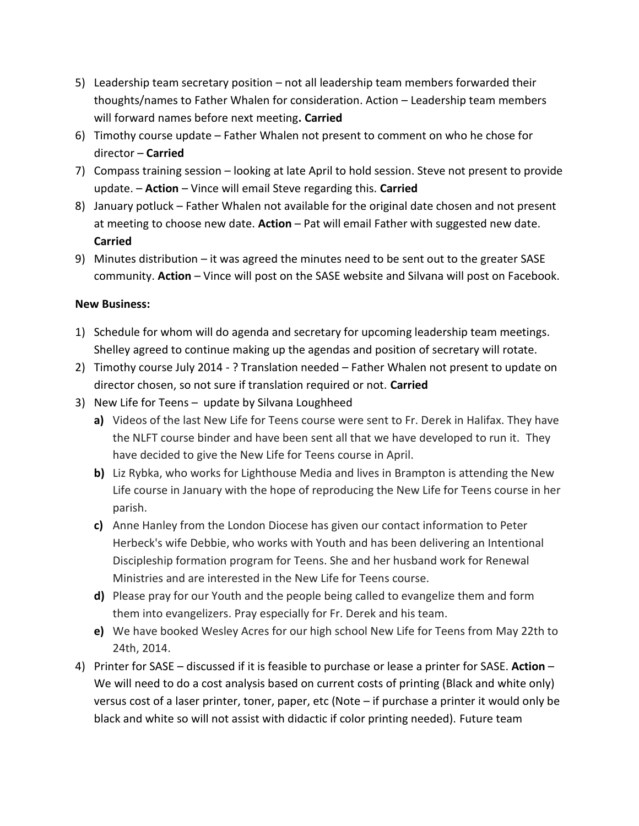- 5) Leadership team secretary position not all leadership team members forwarded their thoughts/names to Father Whalen for consideration. Action – Leadership team members will forward names before next meeting**. Carried**
- 6) Timothy course update Father Whalen not present to comment on who he chose for director – **Carried**
- 7) Compass training session looking at late April to hold session. Steve not present to provide update. – **Action** – Vince will email Steve regarding this. **Carried**
- 8) January potluck Father Whalen not available for the original date chosen and not present at meeting to choose new date. **Action** – Pat will email Father with suggested new date. **Carried**
- 9) Minutes distribution it was agreed the minutes need to be sent out to the greater SASE community. **Action** – Vince will post on the SASE website and Silvana will post on Facebook.

## **New Business:**

- 1) Schedule for whom will do agenda and secretary for upcoming leadership team meetings. Shelley agreed to continue making up the agendas and position of secretary will rotate.
- 2) Timothy course July 2014 ? Translation needed Father Whalen not present to update on director chosen, so not sure if translation required or not. **Carried**
- 3) New Life for Teens update by Silvana Loughheed
	- **a)** Videos of the last New Life for Teens course were sent to Fr. Derek in Halifax. They have the NLFT course binder and have been sent all that we have developed to run it. They have decided to give the New Life for Teens course in April.
	- **b)** Liz Rybka, who works for Lighthouse Media and lives in Brampton is attending the New Life course in January with the hope of reproducing the New Life for Teens course in her parish.
	- **c)** Anne Hanley from the London Diocese has given our contact information to Peter Herbeck's wife Debbie, who works with Youth and has been delivering an Intentional Discipleship formation program for Teens. She and her husband work for Renewal Ministries and are interested in the New Life for Teens course.
	- **d)** Please pray for our Youth and the people being called to evangelize them and form them into evangelizers. Pray especially for Fr. Derek and his team.
	- **e)** We have booked Wesley Acres for our high school New Life for Teens from May 22th to 24th, 2014.
- 4) Printer for SASE discussed if it is feasible to purchase or lease a printer for SASE. **Action** We will need to do a cost analysis based on current costs of printing (Black and white only) versus cost of a laser printer, toner, paper, etc (Note – if purchase a printer it would only be black and white so will not assist with didactic if color printing needed). Future team